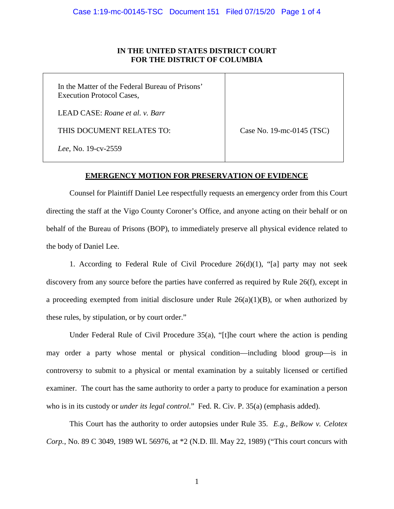## **IN THE UNITED STATES DISTRICT COURT FOR THE DISTRICT OF COLUMBIA**

| In the Matter of the Federal Bureau of Prisons'<br><b>Execution Protocol Cases,</b> |                           |
|-------------------------------------------------------------------------------------|---------------------------|
| LEAD CASE: Roane et al. v. Barr                                                     |                           |
| THIS DOCUMENT RELATES TO:                                                           | Case No. 19-mc-0145 (TSC) |
| Lee, No. 19-cv-2559                                                                 |                           |

## **EMERGENCY MOTION FOR PRESERVATION OF EVIDENCE**

Counsel for Plaintiff Daniel Lee respectfully requests an emergency order from this Court directing the staff at the Vigo County Coroner's Office, and anyone acting on their behalf or on behalf of the Bureau of Prisons (BOP), to immediately preserve all physical evidence related to the body of Daniel Lee.

1. According to Federal Rule of Civil Procedure 26(d)(1), "[a] party may not seek discovery from any source before the parties have conferred as required by Rule 26(f), except in a proceeding exempted from initial disclosure under Rule  $26(a)(1)(B)$ , or when authorized by these rules, by stipulation, or by court order."

Under Federal Rule of Civil Procedure 35(a), "[t]he court where the action is pending may order a party whose mental or physical condition—including blood group—is in controversy to submit to a physical or mental examination by a suitably licensed or certified examiner. The court has the same authority to order a party to produce for examination a person who is in its custody or *under its legal control*." Fed. R. Civ. P. 35(a) (emphasis added).

This Court has the authority to order autopsies under Rule 35. *E.g.*, *Belkow v. Celotex Corp.*, No. 89 C 3049, 1989 WL 56976, at \*2 (N.D. Ill. May 22, 1989) ("This court concurs with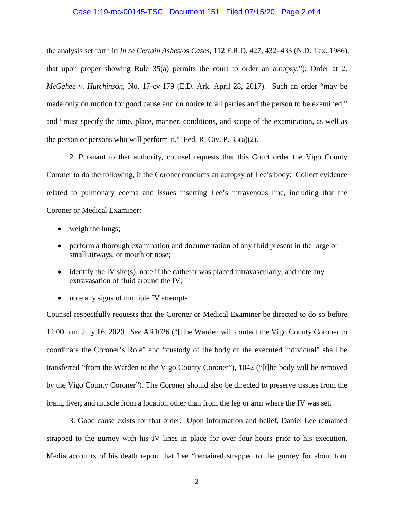#### Case 1:19-mc-00145-TSC Document 151 Filed 07/15/20 Page 2 of 4

the analysis set forth in *In re Certain Asbestos Cases,* 112 F.R.D. 427, 432–433 (N.D. Tex. 1986), that upon proper showing Rule 35(a) permits the court to order an autopsy."); Order at 2, *McGehee v. Hutchinson*, No. 17-cv-179 (E.D. Ark. April 28, 2017). Such an order "may be made only on motion for good cause and on notice to all parties and the person to be examined," and "must specify the time, place, manner, conditions, and scope of the examination, as well as the person or persons who will perform it." Fed. R. Civ. P.  $35(a)(2)$ .

2. Pursuant to that authority, counsel requests that this Court order the Vigo County Coroner to do the following, if the Coroner conducts an autopsy of Lee's body: Collect evidence related to pulmonary edema and issues inserting Lee's intravenous line, including that the Coroner or Medical Examiner:

- weigh the lungs;
- perform a thorough examination and documentation of any fluid present in the large or small airways, or mouth or nose;
- $\bullet$  identify the IV site(s), note if the catheter was placed intravascularly, and note any extravasation of fluid around the IV;
- note any signs of multiple IV attempts.

Counsel respectfully requests that the Coroner or Medical Examiner be directed to do so before 12:00 p.m. July 16, 2020. *See* AR1026 ("[t]he Warden will contact the Vigo County Coroner to coordinate the Coroner's Role" and "custody of the body of the executed individual" shall be transferred "from the Warden to the Vigo County Coroner"), 1042 ("[t]he body will be removed by the Vigo County Coroner"). The Coroner should also be directed to preserve tissues from the brain, liver, and muscle from a location other than from the leg or arm where the IV was set.

3. Good cause exists for that order. Upon information and belief, Daniel Lee remained strapped to the gurney with his IV lines in place for over four hours prior to his execution. Media accounts of his death report that Lee "remained strapped to the gurney for about four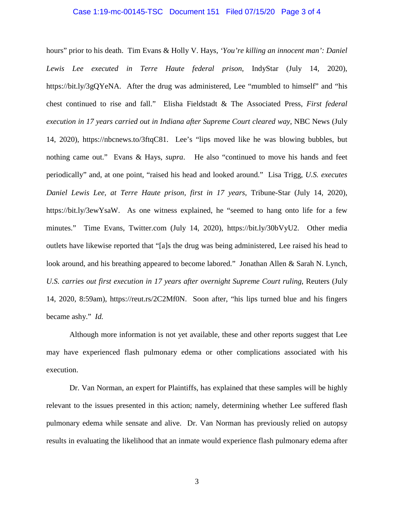### Case 1:19-mc-00145-TSC Document 151 Filed 07/15/20 Page 3 of 4

hours" prior to his death. Tim Evans & Holly V. Hays, *'You're killing an innocent man': Daniel Lewis Lee executed in Terre Haute federal prison*, IndyStar (July 14, 2020), https://bit.ly/3gQYeNA. After the drug was administered, Lee "mumbled to himself" and "his chest continued to rise and fall." Elisha Fieldstadt & The Associated Press, *First federal execution in 17 years carried out in Indiana after Supreme Court cleared way*, NBC News (July 14, 2020), https://nbcnews.to/3ftqC81. Lee's "lips moved like he was blowing bubbles, but nothing came out." Evans & Hays, *supra*. He also "continued to move his hands and feet periodically" and, at one point, "raised his head and looked around." Lisa Trigg, *U.S. executes Daniel Lewis Lee, at Terre Haute prison, first in 17 years*, Tribune-Star (July 14, 2020), https://bit.ly/3ewYsaW. As one witness explained, he "seemed to hang onto life for a few minutes." Time Evans, Twitter.com (July 14, 2020), https://bit.ly/30bVyU2. Other media outlets have likewise reported that "[a]s the drug was being administered, Lee raised his head to look around, and his breathing appeared to become labored." Jonathan Allen & Sarah N. Lynch, *U.S. carries out first execution in 17 years after overnight Supreme Court ruling*, Reuters (July 14, 2020, 8:59am), https://reut.rs/2C2Mf0N. Soon after, "his lips turned blue and his fingers became ashy." *Id.*

Although more information is not yet available, these and other reports suggest that Lee may have experienced flash pulmonary edema or other complications associated with his execution.

Dr. Van Norman, an expert for Plaintiffs, has explained that these samples will be highly relevant to the issues presented in this action; namely, determining whether Lee suffered flash pulmonary edema while sensate and alive. Dr. Van Norman has previously relied on autopsy results in evaluating the likelihood that an inmate would experience flash pulmonary edema after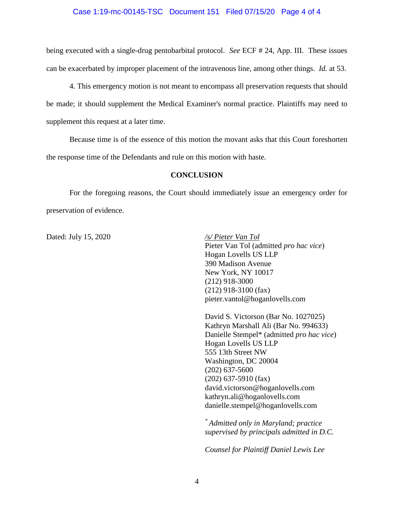### Case 1:19-mc-00145-TSC Document 151 Filed 07/15/20 Page 4 of 4

being executed with a single-drug pentobarbital protocol. *See* ECF # 24, App. III. These issues can be exacerbated by improper placement of the intravenous line, among other things. *Id.* at 53.

4. This emergency motion is not meant to encompass all preservation requests that should be made; it should supplement the Medical Examiner's normal practice. Plaintiffs may need to supplement this request at a later time.

Because time is of the essence of this motion the movant asks that this Court foreshorten the response time of the Defendants and rule on this motion with haste.

### **CONCLUSION**

For the foregoing reasons, the Court should immediately issue an emergency order for preservation of evidence.

Dated: July 15, 2020 */s/ Pieter Van Tol*

Pieter Van Tol (admitted *pro hac vice*) Hogan Lovells US LLP 390 Madison Avenue New York, NY 10017 (212) 918-3000 (212) 918-3100 (fax) pieter.vantol@hoganlovells.com

David S. Victorson (Bar No. 1027025) Kathryn Marshall Ali (Bar No. 994633) Danielle Stempel\* (admitted *pro hac vice*) Hogan Lovells US LLP 555 13th Street NW Washington, DC 20004 (202) 637-5600 (202) 637-5910 (fax) david.victorson@hoganlovells.com kathryn.ali@hoganlovells.com danielle.stempel@hoganlovells.com

*\* Admitted only in Maryland; practice supervised by principals admitted in D.C.* 

*Counsel for Plaintiff Daniel Lewis Lee*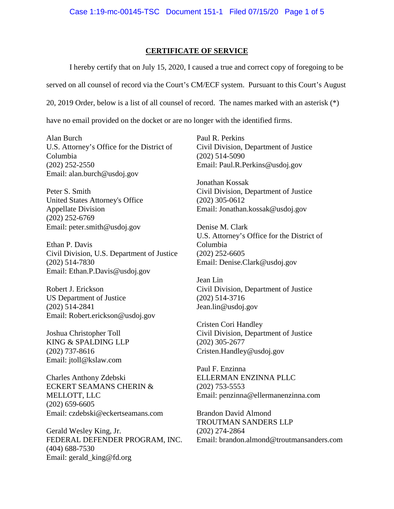## **CERTIFICATE OF SERVICE**

I hereby certify that on July 15, 2020, I caused a true and correct copy of foregoing to be

served on all counsel of record via the Court's CM/ECF system. Pursuant to this Court's August

20, 2019 Order, below is a list of all counsel of record. The names marked with an asterisk (\*)

have no email provided on the docket or are no longer with the identified firms.

Alan Burch U.S. Attorney's Office for the District of Columbia (202) 252-2550 Email: alan.burch@usdoj.gov

Peter S. Smith United States Attorney's Office Appellate Division (202) 252-6769 Email: peter.smith@usdoj.gov

Ethan P. Davis Civil Division, U.S. Department of Justice (202) 514-7830 Email: Ethan.P.Davis@usdoj.gov

Robert J. Erickson US Department of Justice (202) 514-2841 Email: Robert.erickson@usdoj.gov

Joshua Christopher Toll KING & SPALDING LLP (202) 737-8616 Email: jtoll@kslaw.com

Charles Anthony Zdebski ECKERT SEAMANS CHERIN & MELLOTT, LLC (202) 659-6605 Email: czdebski@eckertseamans.com

Gerald Wesley King, Jr. FEDERAL DEFENDER PROGRAM, INC. (404) 688-7530 Email: gerald\_king@fd.org

Paul R. Perkins Civil Division, Department of Justice (202) 514-5090 Email: Paul.R.Perkins@usdoj.gov

Jonathan Kossak Civil Division, Department of Justice (202) 305-0612 Email: Jonathan.kossak@usdoj.gov

Denise M. Clark U.S. Attorney's Office for the District of Columbia (202) 252-6605 Email: Denise.Clark@usdoj.gov

Jean Lin Civil Division, Department of Justice (202) 514-3716 Jean.lin@usdoj.gov

Cristen Cori Handley Civil Division, Department of Justice (202) 305-2677 Cristen.Handley@usdoj.gov

Paul F. Enzinna ELLERMAN ENZINNA PLLC (202) 753-5553 Email: penzinna@ellermanenzinna.com

Brandon David Almond TROUTMAN SANDERS LLP (202) 274-2864 Email: brandon.almond@troutmansanders.com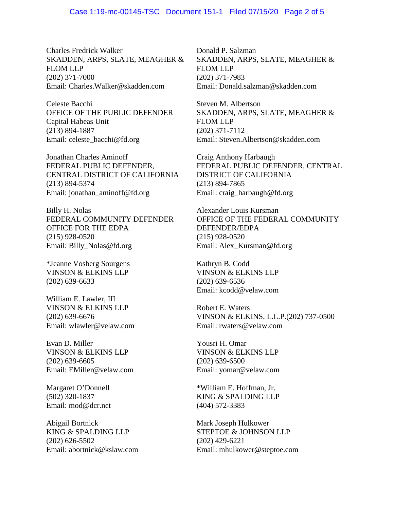Charles Fredrick Walker SKADDEN, ARPS, SLATE, MEAGHER & FLOM LLP (202) 371-7000 Email: Charles.Walker@skadden.com

Celeste Bacchi OFFICE OF THE PUBLIC DEFENDER Capital Habeas Unit (213) 894-1887 Email: celeste\_bacchi@fd.org

Jonathan Charles Aminoff FEDERAL PUBLIC DEFENDER, CENTRAL DISTRICT OF CALIFORNIA (213) 894-5374 Email: jonathan\_aminoff@fd.org

Billy H. Nolas FEDERAL COMMUNITY DEFENDER OFFICE FOR THE EDPA (215) 928-0520 Email: Billy\_Nolas@fd.org

\*Jeanne Vosberg Sourgens VINSON & ELKINS LLP (202) 639-6633

William E. Lawler, III VINSON & ELKINS LLP (202) 639-6676 Email: wlawler@velaw.com

Evan D. Miller VINSON & ELKINS LLP (202) 639-6605 Email: EMiller@velaw.com

Margaret O'Donnell (502) 320-1837 Email: mod@dcr.net

Abigail Bortnick KING & SPALDING LLP (202) 626-5502 Email: abortnick@kslaw.com Donald P. Salzman SKADDEN, ARPS, SLATE, MEAGHER & FLOM LLP (202) 371-7983 Email: Donald.salzman@skadden.com

Steven M. Albertson SKADDEN, ARPS, SLATE, MEAGHER & FLOM LLP (202) 371-7112 Email: Steven.Albertson@skadden.com

Craig Anthony Harbaugh FEDERAL PUBLIC DEFENDER, CENTRAL DISTRICT OF CALIFORNIA (213) 894-7865 Email: craig\_harbaugh@fd.org

Alexander Louis Kursman OFFICE OF THE FEDERAL COMMUNITY DEFENDER/EDPA (215) 928-0520 Email: Alex\_Kursman@fd.org

Kathryn B. Codd VINSON & ELKINS LLP (202) 639-6536 Email: kcodd@velaw.com

Robert E. Waters VINSON & ELKINS, L.L.P.(202) 737-0500 Email: rwaters@velaw.com

Yousri H. Omar VINSON & ELKINS LLP (202) 639-6500 Email: yomar@velaw.com

\*William E. Hoffman, Jr. KING & SPALDING LLP (404) 572-3383

Mark Joseph Hulkower STEPTOE & JOHNSON LLP (202) 429-6221 Email: mhulkower@steptoe.com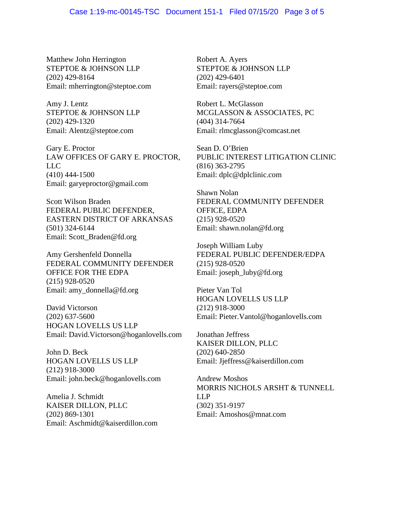Matthew John Herrington STEPTOE & JOHNSON LLP (202) 429-8164 Email: mherrington@steptoe.com

Amy J. Lentz STEPTOE & JOHNSON LLP (202) 429-1320 Email: Alentz@steptoe.com

Gary E. Proctor LAW OFFICES OF GARY E. PROCTOR, LLC (410) 444-1500 Email: garyeproctor@gmail.com

Scott Wilson Braden FEDERAL PUBLIC DEFENDER, EASTERN DISTRICT OF ARKANSAS (501) 324-6144 Email: Scott\_Braden@fd.org

Amy Gershenfeld Donnella FEDERAL COMMUNITY DEFENDER OFFICE FOR THE EDPA (215) 928-0520 Email: amy\_donnella@fd.org

David Victorson (202) 637-5600 HOGAN LOVELLS US LLP Email: David.Victorson@hoganlovells.com

John D. Beck HOGAN LOVELLS US LLP (212) 918-3000 Email: john.beck@hoganlovells.com

Amelia J. Schmidt KAISER DILLON, PLLC (202) 869-1301 Email: Aschmidt@kaiserdillon.com Robert A. Ayers STEPTOE & JOHNSON LLP (202) 429-6401 Email: rayers@steptoe.com

Robert L. McGlasson MCGLASSON & ASSOCIATES, PC (404) 314-7664 Email: rlmcglasson@comcast.net

Sean D. O'Brien PUBLIC INTEREST LITIGATION CLINIC (816) 363-2795 Email: dplc@dplclinic.com

Shawn Nolan FEDERAL COMMUNITY DEFENDER OFFICE, EDPA (215) 928-0520 Email: shawn.nolan@fd.org

Joseph William Luby FEDERAL PUBLIC DEFENDER/EDPA (215) 928-0520 Email: joseph\_luby@fd.org

Pieter Van Tol HOGAN LOVELLS US LLP (212) 918-3000 Email: Pieter.Vantol@hoganlovells.com

Jonathan Jeffress KAISER DILLON, PLLC (202) 640-2850 Email: Jjeffress@kaiserdillon.com

Andrew Moshos MORRIS NICHOLS ARSHT & TUNNELL LLP (302) 351-9197 Email: Amoshos@mnat.com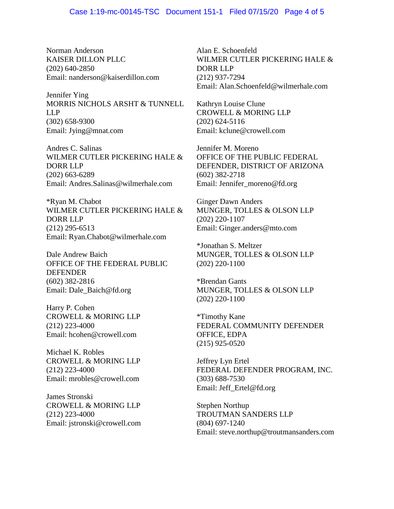Norman Anderson KAISER DILLON PLLC (202) 640-2850 Email: nanderson@kaiserdillon.com

Jennifer Ying MORRIS NICHOLS ARSHT & TUNNELL LLP (302) 658-9300 Email: Jying@mnat.com

Andres C. Salinas WILMER CUTLER PICKERING HALE & DORR LLP (202) 663-6289 Email: Andres.Salinas@wilmerhale.com

\*Ryan M. Chabot WILMER CUTLER PICKERING HALE & DORR LLP (212) 295-6513 Email: Ryan.Chabot@wilmerhale.com

Dale Andrew Baich OFFICE OF THE FEDERAL PUBLIC DEFENDER (602) 382-2816 Email: Dale\_Baich@fd.org

Harry P. Cohen CROWELL & MORING LLP (212) 223-4000 Email: hcohen@crowell.com

Michael K. Robles CROWELL & MORING LLP (212) 223-4000 Email: mrobles@crowell.com

James Stronski CROWELL & MORING LLP (212) 223-4000 Email: jstronski@crowell.com

Alan E. Schoenfeld WILMER CUTLER PICKERING HALE & DORR LLP (212) 937-7294 Email: Alan.Schoenfeld@wilmerhale.com

Kathryn Louise Clune CROWELL & MORING LLP (202) 624-5116 Email: kclune@crowell.com

Jennifer M. Moreno OFFICE OF THE PUBLIC FEDERAL DEFENDER, DISTRICT OF ARIZONA (602) 382-2718 Email: Jennifer\_moreno@fd.org

Ginger Dawn Anders MUNGER, TOLLES & OLSON LLP (202) 220-1107 Email: Ginger.anders@mto.com

\*Jonathan S. Meltzer MUNGER, TOLLES & OLSON LLP (202) 220-1100

\*Brendan Gants MUNGER, TOLLES & OLSON LLP (202) 220-1100

\*Timothy Kane FEDERAL COMMUNITY DEFENDER OFFICE, EDPA (215) 925-0520

Jeffrey Lyn Ertel FEDERAL DEFENDER PROGRAM, INC. (303) 688-7530 Email: Jeff\_Ertel@fd.org

Stephen Northup TROUTMAN SANDERS LLP (804) 697-1240 Email: steve.northup@troutmansanders.com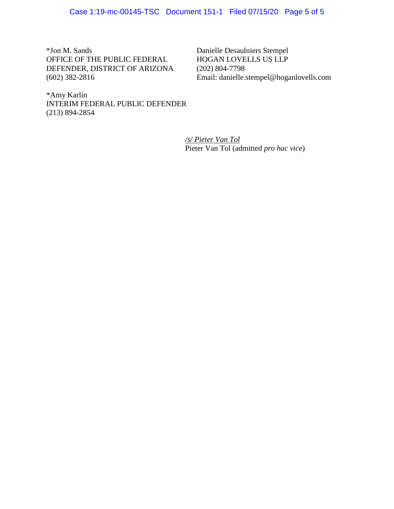\*Jon M. Sands OFFICE OF THE PUBLIC FEDERAL DEFENDER, DISTRICT OF ARIZONA (602) 382-2816

Danielle Desaulniers Stempel HOGAN LOVELLS US LLP (202) 804-7798 Email: danielle.stempel@hoganlovells.com

\*Amy Karlin INTERIM FEDERAL PUBLIC DEFENDER (213) 894-2854

> */s/ Pieter Van Tol* Pieter Van Tol (admitted *pro hac vice*)